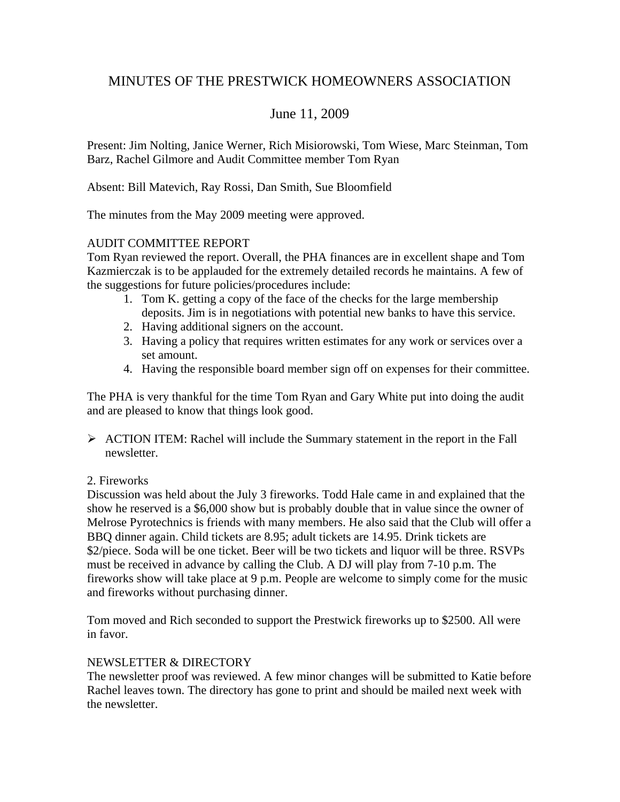# MINUTES OF THE PRESTWICK HOMEOWNERS ASSOCIATION

# June 11, 2009

Present: Jim Nolting, Janice Werner, Rich Misiorowski, Tom Wiese, Marc Steinman, Tom Barz, Rachel Gilmore and Audit Committee member Tom Ryan

Absent: Bill Matevich, Ray Rossi, Dan Smith, Sue Bloomfield

The minutes from the May 2009 meeting were approved.

#### AUDIT COMMITTEE REPORT

Tom Ryan reviewed the report. Overall, the PHA finances are in excellent shape and Tom Kazmierczak is to be applauded for the extremely detailed records he maintains. A few of the suggestions for future policies/procedures include:

- 1. Tom K. getting a copy of the face of the checks for the large membership deposits. Jim is in negotiations with potential new banks to have this service.
- 2. Having additional signers on the account.
- 3. Having a policy that requires written estimates for any work or services over a set amount.
- 4. Having the responsible board member sign off on expenses for their committee.

The PHA is very thankful for the time Tom Ryan and Gary White put into doing the audit and are pleased to know that things look good.

- ¾ ACTION ITEM: Rachel will include the Summary statement in the report in the Fall newsletter.
- 2. Fireworks

Discussion was held about the July 3 fireworks. Todd Hale came in and explained that the show he reserved is a \$6,000 show but is probably double that in value since the owner of Melrose Pyrotechnics is friends with many members. He also said that the Club will offer a BBQ dinner again. Child tickets are 8.95; adult tickets are 14.95. Drink tickets are \$2/piece. Soda will be one ticket. Beer will be two tickets and liquor will be three. RSVPs must be received in advance by calling the Club. A DJ will play from 7-10 p.m. The fireworks show will take place at 9 p.m. People are welcome to simply come for the music and fireworks without purchasing dinner.

Tom moved and Rich seconded to support the Prestwick fireworks up to \$2500. All were in favor.

## NEWSLETTER & DIRECTORY

The newsletter proof was reviewed. A few minor changes will be submitted to Katie before Rachel leaves town. The directory has gone to print and should be mailed next week with the newsletter.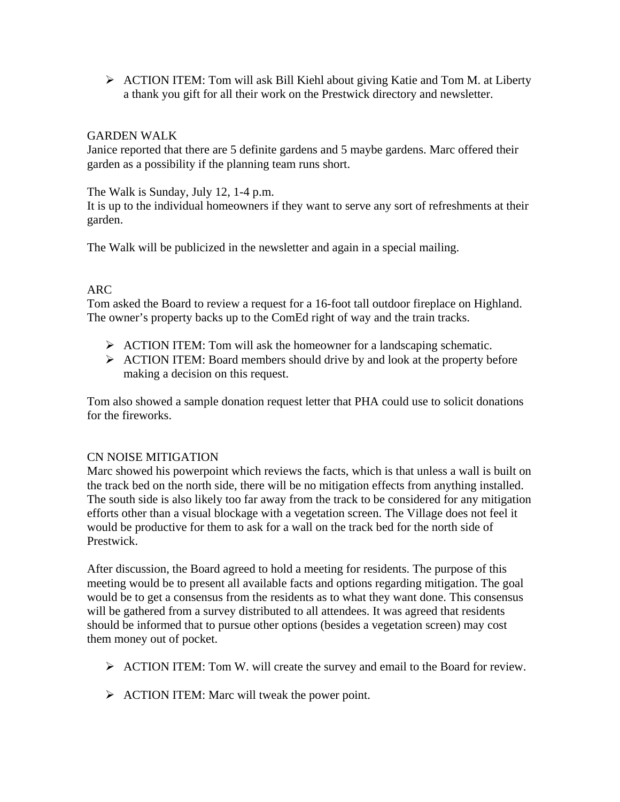¾ ACTION ITEM: Tom will ask Bill Kiehl about giving Katie and Tom M. at Liberty a thank you gift for all their work on the Prestwick directory and newsletter.

#### GARDEN WALK

Janice reported that there are 5 definite gardens and 5 maybe gardens. Marc offered their garden as a possibility if the planning team runs short.

The Walk is Sunday, July 12, 1-4 p.m.

It is up to the individual homeowners if they want to serve any sort of refreshments at their garden.

The Walk will be publicized in the newsletter and again in a special mailing.

#### ARC

Tom asked the Board to review a request for a 16-foot tall outdoor fireplace on Highland. The owner's property backs up to the ComEd right of way and the train tracks.

- $\triangleright$  ACTION ITEM: Tom will ask the homeowner for a landscaping schematic.
- ¾ ACTION ITEM: Board members should drive by and look at the property before making a decision on this request.

Tom also showed a sample donation request letter that PHA could use to solicit donations for the fireworks.

#### CN NOISE MITIGATION

Marc showed his powerpoint which reviews the facts, which is that unless a wall is built on the track bed on the north side, there will be no mitigation effects from anything installed. The south side is also likely too far away from the track to be considered for any mitigation efforts other than a visual blockage with a vegetation screen. The Village does not feel it would be productive for them to ask for a wall on the track bed for the north side of Prestwick.

After discussion, the Board agreed to hold a meeting for residents. The purpose of this meeting would be to present all available facts and options regarding mitigation. The goal would be to get a consensus from the residents as to what they want done. This consensus will be gathered from a survey distributed to all attendees. It was agreed that residents should be informed that to pursue other options (besides a vegetation screen) may cost them money out of pocket.

- ¾ ACTION ITEM: Tom W. will create the survey and email to the Board for review.
- $\triangleright$  ACTION ITEM: Marc will tweak the power point.